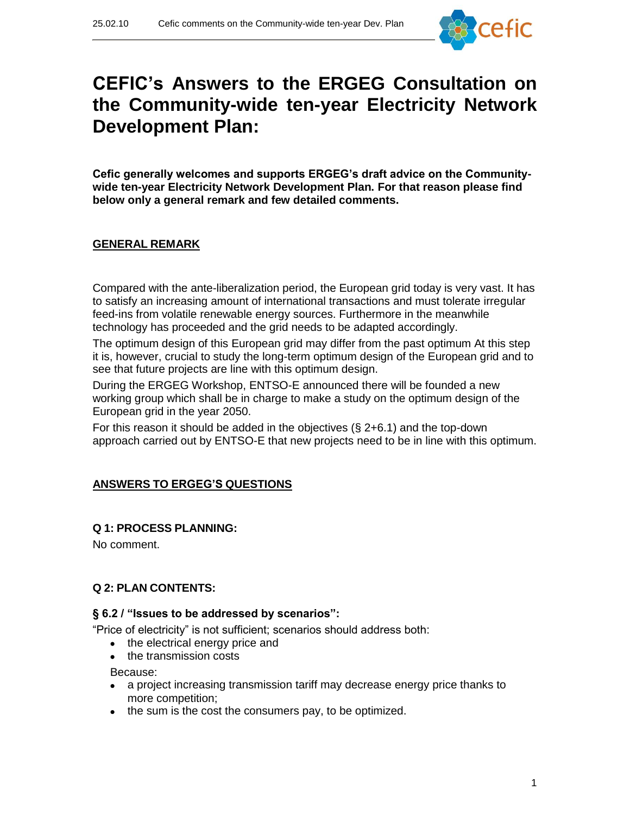

# **CEFIC's Answers to the ERGEG Consultation on the Community-wide ten-year Electricity Network Development Plan:**

**Cefic generally welcomes and supports ERGEG's draft advice on the Communitywide ten-year Electricity Network Development Plan. For that reason please find below only a general remark and few detailed comments.**

## **GENERAL REMARK**

Compared with the ante-liberalization period, the European grid today is very vast. It has to satisfy an increasing amount of international transactions and must tolerate irregular feed-ins from volatile renewable energy sources. Furthermore in the meanwhile technology has proceeded and the grid needs to be adapted accordingly.

The optimum design of this European grid may differ from the past optimum At this step it is, however, crucial to study the long-term optimum design of the European grid and to see that future projects are line with this optimum design.

During the ERGEG Workshop, ENTSO-E announced there will be founded a new working group which shall be in charge to make a study on the optimum design of the European grid in the year 2050.

For this reason it should be added in the objectives (§ 2+6.1) and the top-down approach carried out by ENTSO-E that new projects need to be in line with this optimum.

# **ANSWERS TO ERGEG'S QUESTIONS**

### **Q 1: PROCESS PLANNING:**

No comment.

### **Q 2: PLAN CONTENTS:**

### **§ 6.2 / "Issues to be addressed by scenarios":**

"Price of electricity" is not sufficient; scenarios should address both:

- the electrical energy price and
- the transmission costs

Because:

- a project increasing transmission tariff may decrease energy price thanks to more competition;
- the sum is the cost the consumers pay, to be optimized.